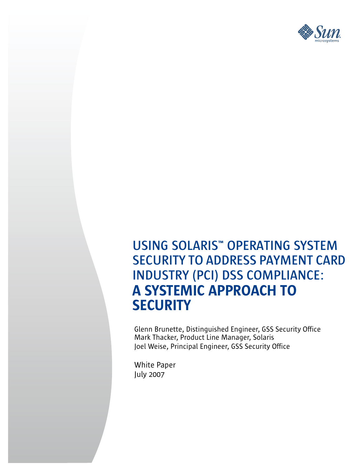

# **USING SOLARIS™ OPERATING SYSTEM SECURITY TO ADDRESS PAYMENT CARD INDUSTRY (PCI) DSS COMPLIANCE:** A SYSTEMIC APPROACH TO **SECURITY**

Glenn Brunette, Distinguished Engineer, GSS Security Office Mark Thacker, Product Line Manager, Solaris Joel Weise, Principal Engineer, GSS Security Office

White Paper July 2007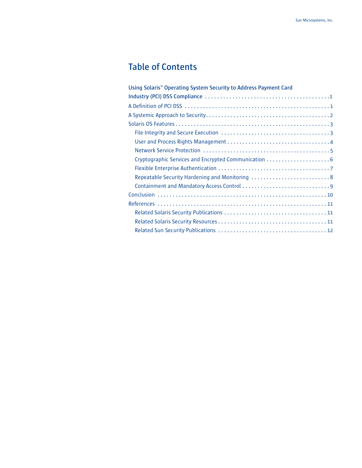## **Table of Contents**

| Using Solaris" Operating System Security to Address Payment Card |
|------------------------------------------------------------------|
|                                                                  |
|                                                                  |
|                                                                  |
|                                                                  |
|                                                                  |
|                                                                  |
|                                                                  |
| Cryptographic Services and Encrypted Communication 6             |
|                                                                  |
| Repeatable Security Hardening and Monitoring 8                   |
|                                                                  |
|                                                                  |
|                                                                  |
|                                                                  |
|                                                                  |
|                                                                  |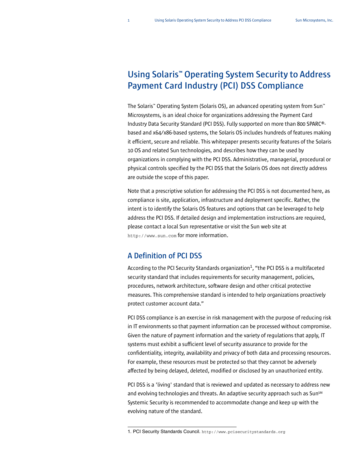## **Using Solaris™ Operating System Security to Address Payment Card Industry (PCI) DSS Compliance**

The Solaris™ Operating System (Solaris OS), an advanced operating system from Sun™ Microsystems, is an ideal choice for organizations addressing the Payment Card Industry Data Security Standard (PCI DSS). Fully supported on more than 800 SPARC® based and x64/x86-based systems, the Solaris OS includes hundreds of features making it efficient, secure and reliable. This whitepaper presents security features of the Solaris 10 OS and related Sun technologies, and describes how they can be used by organizations in complying with the PCI DSS. Administrative, managerial, procedural or physical controls specified by the PCI DSS that the Solaris OS does not directly address are outside the scope of this paper.

Note that a prescriptive solution for addressing the PCI DSS is not documented here, as compliance is site, application, infrastructure and deployment specific. Rather, the intent is to identify the Solaris OS features and options that can be leveraged to help address the PCI DSS. If detailed design and implementation instructions are required, please contact a local Sun representative or visit the Sun web site at <http://www.sun.com> for more information.

## **A Definition of PCI DSS**

According to the PCI Security Standards organization<sup>1</sup>, "the PCI DSS is a multifaceted security standard that includes requirements for security management, policies, procedures, network architecture, software design and other critical protective measures. This comprehensive standard is intended to help organizations proactively protect customer account data."

PCI DSS compliance is an exercise in risk management with the purpose of reducing risk in IT environments so that payment information can be processed without compromise. Given the nature of payment information and the variety of regulations that apply, IT systems must exhibit a sufficient level of security assurance to provide for the confidentiality, integrity, availability and privacy of both data and processing resources. For example, these resources must be protected so that they cannot be adversely affected by being delayed, deleted, modified or disclosed by an unauthorized entity.

PCI DSS is a 'living' standard that is reviewed and updated as necessary to address new and evolving technologies and threats. An adaptive security approach such as Sun<sup>sm</sup> Systemic Security is recommended to accommodate change and keep up with the evolving nature of the standard.

<sup>1.</sup> PCI Security Standards Council. <http://www.pcisecuritystandards.org>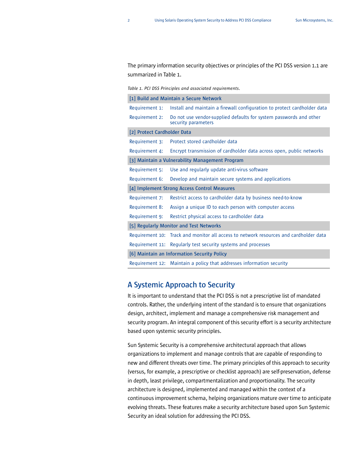The primary information security objectives or principles of the PCI DSS version 1.1 are summarized in [Table](#page-3-0) 1.

<span id="page-3-0"></span>*Table 1. PCI DSS Principles and associated requirements.*

| [1] Build and Maintain a Secure Network         |                                                                                           |  |
|-------------------------------------------------|-------------------------------------------------------------------------------------------|--|
| Requirement 1:                                  | Install and maintain a firewall configuration to protect cardholder data                  |  |
| Requirement 2:                                  | Do not use vendor-supplied defaults for system passwords and other<br>security parameters |  |
| [2] Protect Cardholder Data                     |                                                                                           |  |
| Requirement 3:                                  | Protect stored cardholder data                                                            |  |
| Requirement 4:                                  | Encrypt transmission of cardholder data across open, public networks                      |  |
| [3] Maintain a Vulnerability Management Program |                                                                                           |  |
| Requirement 5:                                  | Use and regularly update anti-virus software                                              |  |
| Requirement 6:                                  | Develop and maintain secure systems and applications                                      |  |
| [4] Implement Strong Access Control Measures    |                                                                                           |  |
| Requirement 7:                                  | Restrict access to cardholder data by business need-to-know                               |  |
| Requirement 8:                                  | Assign a unique ID to each person with computer access                                    |  |
| Requirement 9:                                  | Restrict physical access to cardholder data                                               |  |
| [5] Regularly Monitor and Test Networks         |                                                                                           |  |
|                                                 | Requirement 10: Track and monitor all access to network resources and cardholder data     |  |
|                                                 | Requirement 11: Reqularly test security systems and processes                             |  |
| [6] Maintain an Information Security Policy     |                                                                                           |  |
|                                                 | Requirement 12: Maintain a policy that addresses information security                     |  |

## **A Systemic Approach to Security**

It is important to understand that the PCI DSS is not a prescriptive list of mandated controls. Rather, the underlying intent of the standard is to ensure that organizations design, architect, implement and manage a comprehensive risk management and security program. An integral component of this security effort is a security architecture based upon systemic security principles.

Sun Systemic Security is a comprehensive architectural approach that allows organizations to implement and manage controls that are capable of responding to new and different threats over time. The primary principles of this approach to security (versus, for example, a prescriptive or checklist approach) are self-preservation, defense in depth, least privilege, compartmentalization and proportionality. The security architecture is designed, implemented and managed within the context of a continuous improvement schema, helping organizations mature over time to anticipate evolving threats. These features make a security architecture based upon Sun Systemic Security an ideal solution for addressing the PCI DSS.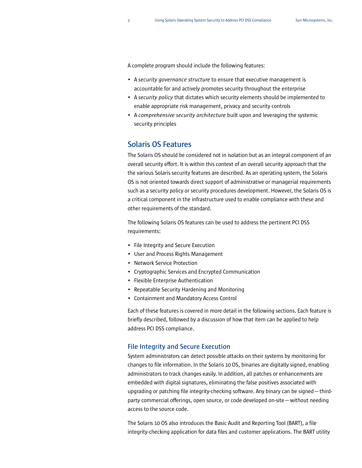A complete program should include the following features:

- A *security governance structure* to ensure that executive management is accountable for and actively promotes security throughout the enterprise
- A *security policy* that dictates which security elements should be implemented to enable appropriate risk management, privacy and security controls
- A *comprehensive security architecture* built upon and leveraging the systemic security principles

## **Solaris OS Features**

The Solaris OS should be considered not in isolation but as an integral component of an overall security effort. It is within this context of an overall security approach that the the various Solaris security features are described. As an operating system, the Solaris OS is not oriented towards direct support of administrative or managerial requirements such as a security policy or security procedures development. However, the Solaris OS is a critical component in the infrastructure used to enable compliance with these and other requirements of the standard.

The following Solaris OS features can be used to address the pertinent PCI DSS requirements:

- [File Integrity and Secure Execution](#page-4-0)
- [User and Process Rights Management](#page-5-0)
- [Network Service Protection](#page-6-0)
- [Cryptographic Services and Encrypted Communication](#page-7-0)
- [Flexible Enterprise Authentication](#page-8-0)
- [Repeatable Security Hardening and Monitoring](#page-9-0)
- [Containment and Mandatory Access Control](#page-10-0)

Each of these features is covered in more detail in the following sections. Each feature is briefly described, followed by a discussion of how that item can be applied to help address PCI DSS compliance.

## <span id="page-4-0"></span>**File Integrity and Secure Execution**

System administrators can detect possible attacks on their systems by monitoring for changes to file information. In the Solaris 10 OS, binaries are digitally signed, enabling administrators to track changes easily. In addition, all patches or enhancements are embedded with digital signatures, eliminating the false positives associated with upgrading or patching file integrity-checking software. Any binary can be signed—thirdparty commercial offerings, open source, or code developed on-site—without needing access to the source code.

The Solaris 10 OS also introduces the Basic Audit and Reporting Tool (BART), a file integrity-checking application for data files and customer applications. The BART utility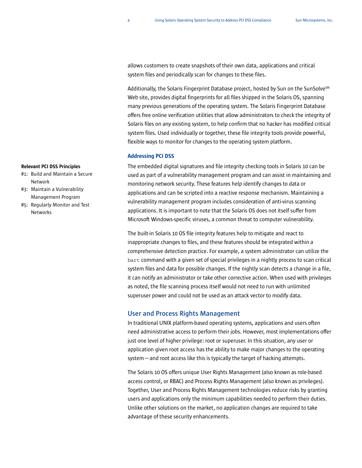allows customers to create snapshots of their own data, applications and critical system files and periodically scan for changes to these files.

Additionally, the Solaris Fingerprint Database project, hosted by Sun on the SunSolve<sup>SM</sup> Web site, provides digital fingerprints for all files shipped in the Solaris OS, spanning many previous generations of the operating system. The Solaris Fingerprint Database offers free online verification utilities that allow administrators to check the integrity of Solaris files on any existing system, to help confirm that no hacker has modified critical system files. Used individually or together, these file integrity tools provide powerful, flexible ways to monitor for changes to the operating system platform.

### Addressing PCI DSS

The embedded digital signatures and file integrity checking tools in Solaris 10 can be used as part of a vulnerability management program and can assist in maintaining and monitoring network security. These features help identify changes to data or applications and can be scripted into a reactive response mechanism. Maintaining a vulnerability management program includes consideration of anti-virus scanning applications. It is important to note that the Solaris OS does not itself suffer from Microsoft Windows-specific viruses, a common threat to computer vulnerability.

The built-in Solaris 10 OS file integrity features help to mitigate and react to inappropriate changes to files, and these features should be integrated within a comprehensive detection practice. For example, a system administrator can utilize the bart command with a given set of special privileges in a nightly process to scan critical system files and data for possible changes. If the nightly scan detects a change in a file, it can notify an administrator or take other corrective action. When used with privileges as noted, the file scanning process itself would not need to run with unlimited superuser power and could not be used as an attack vector to modify data.

### <span id="page-5-0"></span>**User and Process Rights Management**

In traditional UNIX platform-based operating systems, applications and users often need administrative access to perform their jobs. However, most implementations offer just one level of higher privilege: root or superuser. In this situation, any user or application given root access has the ability to make major changes to the operating system—and root access like this is typically the target of hacking attempts.

The Solaris 10 OS offers unique User Rights Management (also known as role-based access control, or RBAC) and Process Rights Management (also known as privileges). Together, User and Process Rights Management technologies reduce risks by granting users and applications only the minimum capabilities needed to perform their duties. Unlike other solutions on the market, no application changes are required to take advantage of these security enhancements.

- #1: Build and Maintain a Secure Network
- #3: Maintain a Vulnerability Management Program
- #5: Regularly Monitor and Test **Networks**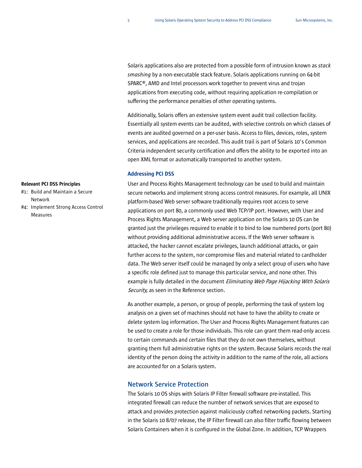Solaris applications also are protected from a possible form of intrusion known as *stack smashing* by a non-executable stack feature. Solaris applications running on 64-bit SPARC®, AMD and Intel processors work together to prevent virus and trojan applications from executing code, without requiring application re-compilation or suffering the performance penalties of other operating systems.

Additionally, Solaris offers an extensive system event audit trail collection facility. Essentially all system events can be audited, with selective controls on which classes of events are audited governed on a per-user basis. Access to files, devices, roles, system services, and applications are recorded. This audit trail is part of Solaris 10's Common Criteria independent security certification and offers the ability to be exported into an open XML format or automatically transported to another system.

### Addressing PCI DSS

User and Process Rights Management technology can be used to build and maintain secure networks and implement strong access control measures. For example, all UNIX platform-based Web server software traditionally requires root access to serve applications on port 80, a commonly used Web TCP/IP port. However, with User and Process Rights Management, a Web server application on the Solaris 10 OS can be granted just the privileges required to enable it to bind to low numbered ports (port 80) without providing additional administrative access. If the Web server software is attacked, the hacker cannot escalate privileges, launch additional attacks, or gain further access to the system, nor compromise files and material related to cardholder data. The Web server itself could be managed by only a select group of users who have a specific role defined just to manage this particular service, and none other. This example is fully detailed in the document *Eliminating Web Page Hijacking With Solaris* [Security](#page-12-0), as seen in the Reference section.

As another example, a person, or group of people, performing the task of system log analysis on a given set of machines should not have to have the ability to create or delete system log information. The User and Process Rights Management features can be used to create a role for those individuals. This role can grant them read-only access to certain commands and certain files that they do not own themselves, without granting them full administrative rights on the system. Because Solaris records the real identity of the person doing the activity in addition to the name of the role, all actions are accounted for on a Solaris system.

## <span id="page-6-0"></span>**Network Service Protection**

The Solaris 10 OS ships with Solaris IP Filter firewall software pre-installed. This integrated firewall can reduce the number of network services that are exposed to attack and provides protection against maliciously crafted networking packets. Starting in the Solaris 10 8/07 release, the IP Filter firewall can also filter traffic flowing between Solaris Containers when it is configured in the Global Zone. In addition, TCP Wrappers

- #1: Build and Maintain a Secure Network
- #4: Implement Strong Access Control Measures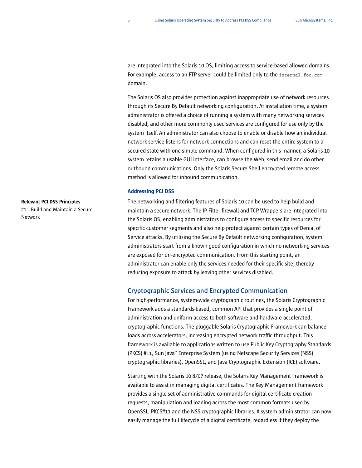are integrated into the Solaris 10 OS, limiting access to service-based allowed domains. For example, access to an FTP server could be limited only to the internal.foo.com domain.

The Solaris OS also provides protection against inappropriate use of network resources through its Secure By Default networking configuration. At installation time, a system administrator is offered a choice of running a system with many networking services disabled, and other more commonly used services are configured for use only by the system itself. An administrator can also choose to enable or disable how an individual network service listens for network connections and can reset the entire system to a secured state with one simple command. When configured in this manner, a Solaris 10 system retains a usable GUI interface, can browse the Web, send email and do other outbound communications. Only the Solaris Secure Shell encrypted remote access method is allowed for inbound communication.

### Addressing PCI DSS

The networking and filtering features of Solaris 10 can be used to help build and maintain a secure network. The IP Filter firewall and TCP Wrappers are integrated into the Solaris OS, enabling administrators to configure access to specific resources for specific customer segments and also help protect against certain types of Denial of Service attacks. By utilizing the Secure By Default networking configuration, system administrators start from a known good configuration in which no networking services are exposed for un-encrypted communication. From this starting point, an administrator can enable only the services needed for their specific site, thereby reducing exposure to attack by leaving other services disabled.

## <span id="page-7-0"></span>**Cryptographic Services and Encrypted Communication**

For high-performance, system-wide cryptographic routines, the Solaris Cryptographic Framework adds a standards-based, common API that provides a single point of administration and uniform access to both software and hardware-accelerated, cryptographic functions. The pluggable Solaris Cryptographic Framework can balance loads across accelerators, increasing encrypted network traffic throughput. This framework is available to applications written to use Public Key Cryptography Standards (PKCS) #11, Sun Java™ Enterprise System (using Netscape Security Services (NSS) cryptographic libraries), OpenSSL, and Java Cryptographic Extension (JCE) software.

Starting with the Solaris 10 8/07 release, the Solaris Key Management Framework is available to assist in managing digital certificates. The Key Management framework provides a single set of administrative commands for digital certificate creation requests, manipulation and loading across the most common formats used by OpenSSL, PKCS#11 and the NSS cryptographic libraries. A system administrator can now easily manage the full lifecycle of a digital certificate, regardless if they deploy the

## Relevant PCI DSS Principles #1: Build and Maintain a Secure

Network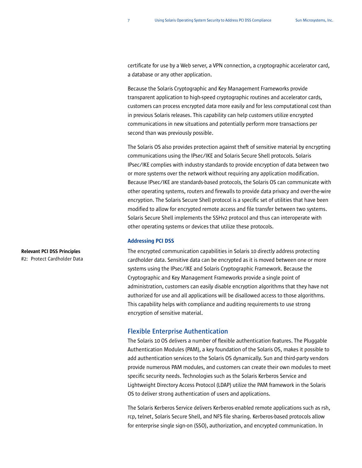certificate for use by a Web server, a VPN connection, a cryptographic accelerator card, a database or any other application.

Because the Solaris Cryptographic and Key Management Frameworks provide transparent application to high-speed cryptographic routines and accelerator cards, customers can process encrypted data more easily and for less computational cost than in previous Solaris releases. This capability can help customers utilize encrypted communications in new situations and potentially perform more transactions per second than was previously possible.

The Solaris OS also provides protection against theft of sensitive material by encrypting communications using the IPsec/IKE and Solaris Secure Shell protocols. Solaris IPsec/IKE complies with industry standards to provide encryption of data between two or more systems over the network without requiring any application modification. Because IPsec/IKE are standards-based protocols, the Solaris OS can communicate with other operating systems, routers and firewalls to provide data privacy and over-the-wire encryption. The Solaris Secure Shell protocol is a specific set of utilities that have been modified to allow for encrypted remote access and file transfer between two systems. Solaris Secure Shell implements the SSHv2 protocol and thus can interoperate with other operating systems or devices that utilize these protocols.

#### Addressing PCI DSS

The encrypted communication capabilities in Solaris 10 directly address protecting cardholder data. Sensitive data can be encrypted as it is moved between one or more systems using the IPsec/IKE and Solaris Cryptographic Framework. Because the Cryptographic and Key Management Frameworks provide a single point of administration, customers can easily disable encryption algorithms that they have not authorized for use and all applications will be disallowed access to those algorithms. This capability helps with compliance and auditing requirements to use strong encryption of sensitive material.

## <span id="page-8-0"></span>**Flexible Enterprise Authentication**

The Solaris 10 OS delivers a number of flexible authentication features. The Pluggable Authentication Modules (PAM), a key foundation of the Solaris OS, makes it possible to add authentication services to the Solaris OS dynamically. Sun and third-party vendors provide numerous PAM modules, and customers can create their own modules to meet specific security needs. Technologies such as the Solaris Kerberos Service and Lightweight Directory Access Protocol (LDAP) utilize the PAM framework in the Solaris OS to deliver strong authentication of users and applications.

The Solaris Kerberos Service delivers Kerberos-enabled remote applications such as rsh, rcp, telnet, Solaris Secure Shell, and NFS file sharing. Kerberos-based protocols allow for enterprise single sign-on (SSO), authorization, and encrypted communication. In

## Relevant PCI DSS Principles #2: Protect Cardholder Data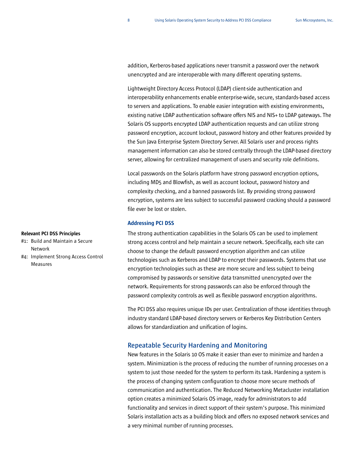addition, Kerberos-based applications never transmit a password over the network unencrypted and are interoperable with many different operating systems.

Lightweight Directory Access Protocol (LDAP) client-side authentication and interoperability enhancements enable enterprise-wide, secure, standards-based access to servers and applications. To enable easier integration with existing environments, existing native LDAP authentication software offers NIS and NIS+ to LDAP gateways. The Solaris OS supports encrypted LDAP authentication requests and can utilize strong password encryption, account lockout, password history and other features provided by the Sun Java Enterprise System Directory Server. All Solaris user and process rights management information can also be stored centrally through the LDAP-based directory server, allowing for centralized management of users and security role definitions.

Local passwords on the Solaris platform have strong password encryption options, including MD5 and Blowfish, as well as account lockout, password history and complexity checking, and a banned passwords list. By providing strong password encryption, systems are less subject to successful password cracking should a password file ever be lost or stolen.

#### Addressing PCI DSS

The strong authentication capabilities in the Solaris OS can be used to implement strong access control and help maintain a secure network. Specifically, each site can choose to change the default password encryption algorithm and can utilize technologies such as Kerberos and LDAP to encrypt their passwords. Systems that use encryption technologies such as these are more secure and less subject to being compromised by passwords or sensitive data transmitted unencrypted over the network. Requirements for strong passwords can also be enforced through the password complexity controls as well as flexible password encryption algorithms.

The PCI DSS also requires unique IDs per user. Centralization of those identities through industry standard LDAP-based directory servers or Kerberos Key Distribution Centers allows for standardization and unification of logins.

## <span id="page-9-0"></span>**Repeatable Security Hardening and Monitoring**

New features in the Solaris 10 OS make it easier than ever to minimize and harden a system. Minimization is the process of reducing the number of running processes on a system to just those needed for the system to perform its task. Hardening a system is the process of changing system configuration to choose more secure methods of communication and authentication. The Reduced Networking Metacluster installation option creates a minimized Solaris OS image, ready for administrators to add functionality and services in direct support of their system's purpose. This minimized Solaris installation acts as a building block and offers no exposed network services and a very minimal number of running processes.

- #1: Build and Maintain a Secure Network
- #4: Implement Strong Access Control Measures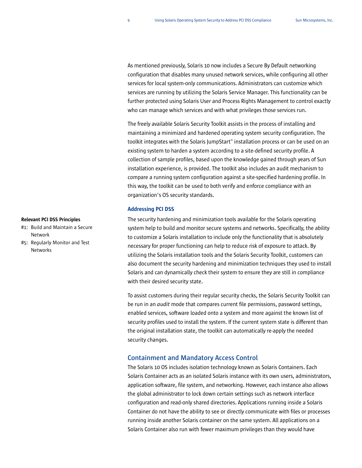As mentioned previously, Solaris 10 now includes a Secure By Default networking configuration that disables many unused network services, while configuring all other services for local system-only communications. Administrators can customize which services are running by utilizing the Solaris Service Manager. This functionality can be further protected using Solaris User and Process Rights Management to control exactly who can manage which services and with what privileges those services run.

The freely available Solaris Security Toolkit assists in the process of installing and maintaining a minimized and hardened operating system security configuration. The toolkit integrates with the Solaris JumpStart™ installation process or can be used on an existing system to harden a system according to a site-defined security profile. A collection of sample profiles, based upon the knowledge gained through years of Sun installation experience, is provided. The toolkit also includes an audit mechanism to compare a running system configuration against a site-specified hardening profile. In this way, the toolkit can be used to both verify and enforce compliance with an organization's OS security standards.

### Addressing PCI DSS

The security hardening and minimization tools available for the Solaris operating system help to build and monitor secure systems and networks. Specifically, the ability to customize a Solaris installation to include only the functionality that is absolutely necessary for proper functioning can help to reduce risk of exposure to attack. By utilizing the Solaris installation tools and the Solaris Security Toolkit, customers can also document the security hardening and minimization techniques they used to install Solaris and can dynamically check their system to ensure they are still in compliance with their desired security state.

To assist customers during their regular security checks, the Solaris Security Toolkit can be run in an *audit* mode that compares current file permissions, password settings, enabled services, software loaded onto a system and more against the known list of security profiles used to install the system. If the current system state is different than the original installation state, the toolkit can automatically re-apply the needed security changes.

## <span id="page-10-0"></span>**Containment and Mandatory Access Control**

The Solaris 10 OS includes isolation technology known as Solaris Containers. Each Solaris Container acts as an isolated Solaris instance with its own users, administrators, application software, file system, and networking. However, each instance also allows the global administrator to lock down certain settings such as network interface configuration and read-only shared directories. Applications running inside a Solaris Container do not have the ability to see or directly communicate with files or processes running inside another Solaris container on the same system. All applications on a Solaris Container also run with fewer maximum privileges than they would have

- #1: Build and Maintain a Secure Network #5: Regularly Monitor and Test
- Networks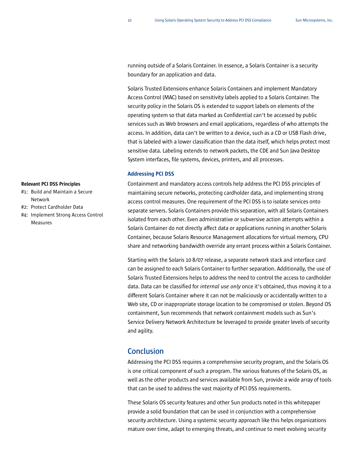running outside of a Solaris Container. In essence, a Solaris Container is a security boundary for an application and data.

Solaris Trusted Extensions enhance Solaris Containers and implement Mandatory Access Control (MAC) based on sensitivity labels applied to a Solaris Container. The security policy in the Solaris OS is extended to support labels on elements of the operating system so that data marked as Confidential can't be accessed by public services such as Web browsers and email applications, regardless of who attempts the access. In addition, data can't be written to a device, such as a CD or USB Flash drive, that is labeled with a lower classification than the data itself, which helps protect most sensitive data. Labeling extends to network packets, the CDE and Sun Java Desktop System interfaces, file systems, devices, printers, and all processes.

## Addressing PCI DSS

Containment and mandatory access controls help address the PCI DSS principles of maintaining secure networks, protecting cardholder data, and implementing strong access control measures. One requirement of the PCI DSS is to isolate services onto separate servers. Solaris Containers provide this separation, with all Solaris Containers isolated from each other. Even administrative or subversive action attempts within a Solaris Container do not directly affect data or applications running in another Solaris Container, because Solaris Resource Management allocations for virtual memory, CPU share and networking bandwidth override any errant process within a Solaris Container.

Starting with the Solaris 10 8/07 release, a separate network stack and interface card can be assigned to each Solaris Container to further separation. Additionally, the use of Solaris Trusted Extensions helps to address the need to control the access to cardholder data. Data can be classified for *internal use only* once it's obtained, thus moving it to a different Solaris Container where it can not be maliciously or accidentally written to a Web site, CD or inappropriate storage location to be compromised or stolen. Beyond OS containment, Sun recommends that network containment models such as Sun's Service Delivery Network Architecture be leveraged to provide greater levels of security and agility.

## **Conclusion**

Addressing the PCI DSS requires a comprehensive security program, and the Solaris OS is one critical component of such a program. The various features of the Solaris OS, as well as the other products and services available from Sun, provide a wide array of tools that can be used to address the vast majority of PCI DSS requirements.

These Solaris OS security features and other Sun products noted in this whitepaper provide a solid foundation that can be used in conjunction with a comprehensive security architecture. Using a systemic security approach like this helps organizations mature over time, adapt to emerging threats, and continue to meet evolving security

- #1: Build and Maintain a Secure Network
- #2: Protect Cardholder Data
- #4: Implement Strong Access Control Measures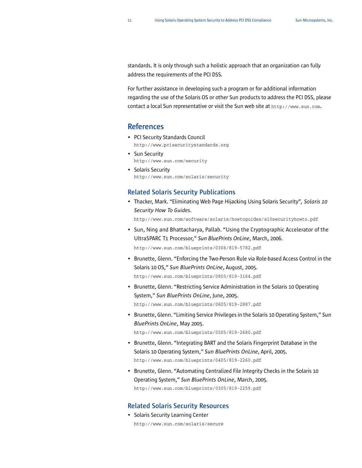standards. It is only through such a holistic approach that an organization can fully address the requirements of the PCI DSS.

For further assistance in developing such a program or for additional information regarding the use of the Solaris OS or other Sun products to address the PCI DSS, please contact a local Sun representative or visit the Sun web site at <http://www.sun.com>.

## **References**

- PCI Security Standards Council <http://www.pcisecuritystandards.org>
- Sun Security <http://www.sun.com/security>
- Solaris Security <http://www.sun.com/solaris/security>

## **Related Solaris Security Publications**

<span id="page-12-0"></span>• Thacker, Mark. "Eliminating Web Page Hijacking Using Solaris Security"*, Solaris 10 Security How To Guides.*

<http://www.sun.com/software/solaris/howtoguides/s10securityhowto.pdf>

• Sun, Ning and Bhattacharya, Pallab. "Using the Cryptographic Accelerator of the UltraSPARC T1 Processor," *Sun BluePrints OnLine*, March, 2006.

<http://www.sun.com/blueprints/0306/819-5782.pdf>

• Brunette, Glenn. "Enforcing the Two-Person Rule via Role-based Access Control in the Solaris 10 OS," *Sun BluePrints OnLine*, August, 2005.

<http://www.sun.com/blueprints/0805/819-3164.pdf>

- Brunette, Glenn. "Restricting Service Administration in the Solaris 10 Operating System," *Sun BluePrints OnLine*, June, 2005. <http://www.sun.com/blueprints/0605/819-2887.pdf>
- Brunette, Glenn. "Limiting Service Privileges in the Solaris 10 Operating System," *Sun BluePrints OnLine*, May 2005.

<http://www.sun.com/blueprints/0505/819-2680.pdf>

- Brunette, Glenn. "Integrating BART and the Solaris Fingerprint Database in the Solaris 10 Operating System," *Sun BluePrints OnLine*, April, 2005. <http://www.sun.com/blueprints/0405/819-2260.pdf>
- Brunette, Glenn. "Automating Centralized File Integrity Checks in the Solaris 10 Operating System," *Sun BluePrints OnLine*, March, 2005. <http://www.sun.com/blueprints/0305/819-2259.pdf>

## **Related Solaris Security Resources**

• Solaris Security Learning Center <http://www.sun.com/solaris/secure>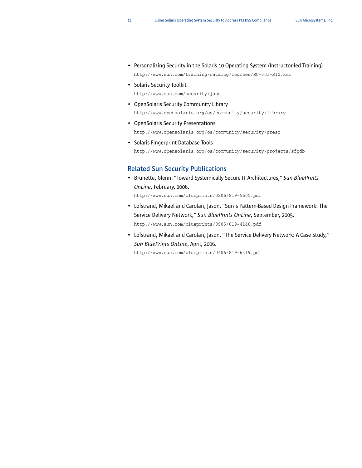- Personalizing Security in the Solaris 10 Operating System (Instructor-led Training) <http://www.sun.com/training/catalog/courses/SC-301-S10.xml>
- Solaris Security Toolkit

<http://www.sun.com/security/jass>

- OpenSolaris Security Community Library <http://www.opensolaris.org/os/community/security/library>
- OpenSolaris Security Presentations <http://www.opensolaris.org/os/community/security/preso>
- Solaris Fingerprint Database Tools <http://www.opensolaris.org/os/community/security/projects/sfpdb>

## **Related Sun Security Publications**

• Brunette, Glenn. "Toward Systemically Secure IT Architectures," *Sun BluePrints OnLine*, February, 2006.

<http://www.sun.com/blueprints/0206/819-5605.pdf>

- Lofstrand, Mikael and Carolan, Jason. "Sun's Pattern-Based Design Framework: The Service Delivery Network," *Sun BluePrints OnLine*, September, 2005. <http://www.sun.com/blueprints/0905/819-4148.pdf>
- Lofstrand, Mikael and Carolan, Jason. "The Service Delivery Network: A Case Study," *Sun BluePrints OnLine*, April, 2006.

<http://www.sun.com/blueprints/0406/819-6319.pdf>